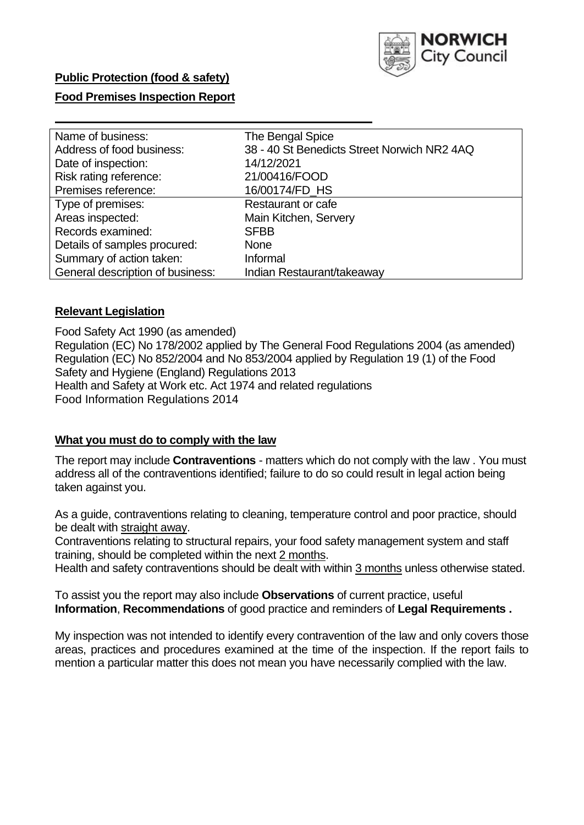

### **Public Protection (food & safety)**

### **Food Premises Inspection Report**

| Name of business:                | The Bengal Spice                            |
|----------------------------------|---------------------------------------------|
| Address of food business:        | 38 - 40 St Benedicts Street Norwich NR2 4AQ |
| Date of inspection:              | 14/12/2021                                  |
| Risk rating reference:           | 21/00416/FOOD                               |
| Premises reference:              | 16/00174/FD_HS                              |
| Type of premises:                | <b>Restaurant or cafe</b>                   |
| Areas inspected:                 | Main Kitchen, Servery                       |
| Records examined:                | <b>SFBB</b>                                 |
| Details of samples procured:     | <b>None</b>                                 |
| Summary of action taken:         | Informal                                    |
| General description of business: | Indian Restaurant/takeaway                  |

### **Relevant Legislation**

 Food Safety Act 1990 (as amended) Regulation (EC) No 178/2002 applied by The General Food Regulations 2004 (as amended) Regulation (EC) No 852/2004 and No 853/2004 applied by Regulation 19 (1) of the Food Safety and Hygiene (England) Regulations 2013 Health and Safety at Work etc. Act 1974 and related regulations Food Information Regulations 2014

### **What you must do to comply with the law**

 The report may include **Contraventions** - matters which do not comply with the law . You must address all of the contraventions identified; failure to do so could result in legal action being taken against you.

 As a guide, contraventions relating to cleaning, temperature control and poor practice, should be dealt with straight away.

 Contraventions relating to structural repairs, your food safety management system and staff training, should be completed within the next 2 months.

Health and safety contraventions should be dealt with within 3 months unless otherwise stated.

 To assist you the report may also include **Observations** of current practice, useful **Information**, **Recommendations** of good practice and reminders of **Legal Requirements .** 

 My inspection was not intended to identify every contravention of the law and only covers those areas, practices and procedures examined at the time of the inspection. If the report fails to mention a particular matter this does not mean you have necessarily complied with the law.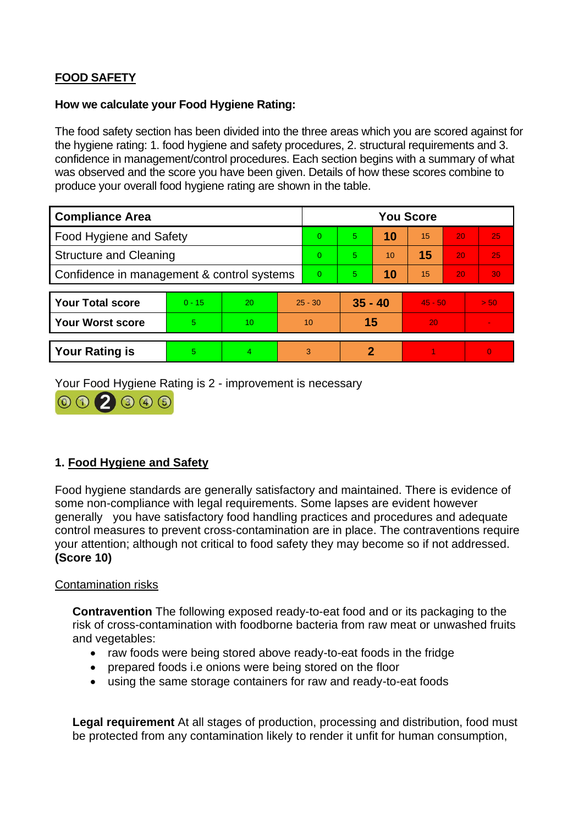# **FOOD SAFETY**

### **How we calculate your Food Hygiene Rating:**

 The food safety section has been divided into the three areas which you are scored against for the hygiene rating: 1. food hygiene and safety procedures, 2. structural requirements and 3. confidence in management/control procedures. Each section begins with a summary of what was observed and the score you have been given. Details of how these scores combine to produce your overall food hygiene rating are shown in the table.

| <b>Compliance Area</b>                     |          |                  |                | <b>You Score</b> |    |           |           |    |          |  |  |
|--------------------------------------------|----------|------------------|----------------|------------------|----|-----------|-----------|----|----------|--|--|
| Food Hygiene and Safety                    |          |                  |                | $\Omega$         | 5  | 10        | 15        | 20 | 25       |  |  |
| <b>Structure and Cleaning</b>              |          |                  | $\Omega$       | 5                | 10 | 15        | 20        | 25 |          |  |  |
| Confidence in management & control systems |          |                  | $\overline{0}$ | 5                | 10 | 15        | 20        | 30 |          |  |  |
|                                            |          |                  |                |                  |    |           |           |    |          |  |  |
| <b>Your Total score</b>                    | $0 - 15$ | 20               |                | $25 - 30$        |    | $35 - 40$ | $45 - 50$ |    | > 50     |  |  |
| <b>Your Worst score</b>                    | 5        | 10 <sup>10</sup> |                | 10               | 15 |           | 20        |    | $\sim$   |  |  |
|                                            |          |                  |                |                  |    |           |           |    |          |  |  |
| <b>Your Rating is</b>                      | 5        | 4                |                | 3                | 2  |           |           |    | $\Omega$ |  |  |

Your Food Hygiene Rating is 2 - improvement is necessary



# **1. Food Hygiene and Safety**

 generally you have satisfactory food handling practices and procedures and adequate Food hygiene standards are generally satisfactory and maintained. There is evidence of some non-compliance with legal requirements. Some lapses are evident however control measures to prevent cross-contamination are in place. The contraventions require your attention; although not critical to food safety they may become so if not addressed. **(Score 10)** 

### Contamination risks

**Contravention** The following exposed ready-to-eat food and or its packaging to the risk of cross-contamination with foodborne bacteria from raw meat or unwashed fruits and vegetables:

- raw foods were being stored above ready-to-eat foods in the fridge
- prepared foods i.e onions were being stored on the floor
- using the same storage containers for raw and ready-to-eat foods

**Legal requirement** At all stages of production, processing and distribution, food must be protected from any contamination likely to render it unfit for human consumption,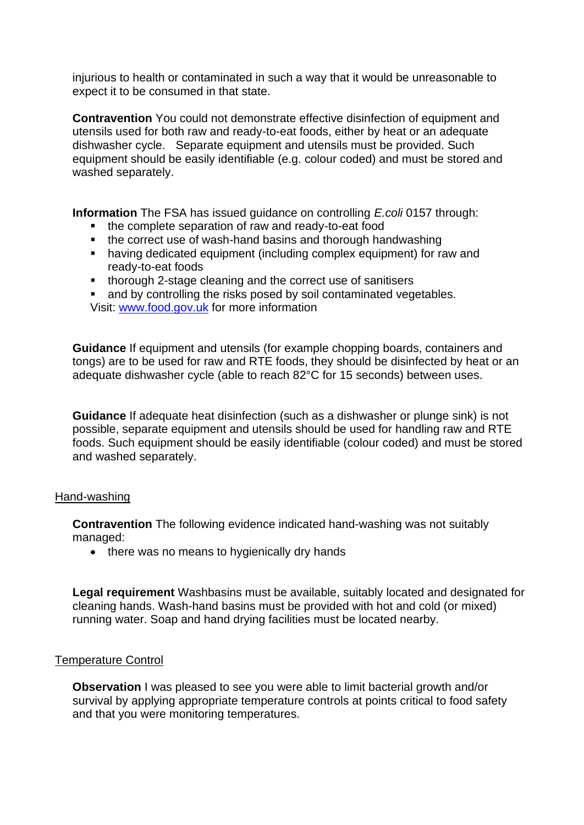injurious to health or contaminated in such a way that it would be unreasonable to expect it to be consumed in that state.

 equipment should be easily identifiable (e.g. colour coded) and must be stored and **Contravention** You could not demonstrate effective disinfection of equipment and utensils used for both raw and ready-to-eat foods, either by heat or an adequate dishwasher cycle. Separate equipment and utensils must be provided. Such washed separately.

**Information** The FSA has issued guidance on controlling *E.coli* 0157 through:

- the complete separation of raw and ready-to-eat food
- the correct use of wash-hand basins and thorough handwashing
- having dedicated equipment (including complex equipment) for raw and ready-to-eat foods
- thorough 2-stage cleaning and the correct use of sanitisers
- and by controlling the risks posed by soil contaminated vegetables. Visit: [www.food.gov.uk](http://www.food.gov.uk/) for more information

**Guidance** If equipment and utensils (for example chopping boards, containers and tongs) are to be used for raw and RTE foods, they should be disinfected by heat or an adequate dishwasher cycle (able to reach 82°C for 15 seconds) between uses.

 **Guidance** If adequate heat disinfection (such as a dishwasher or plunge sink) is not possible, separate equipment and utensils should be used for handling raw and RTE foods. Such equipment should be easily identifiable (colour coded) and must be stored and washed separately.

### Hand-washing

**Contravention** The following evidence indicated hand-washing was not suitably managed:

• there was no means to hygienically dry hands

 **Legal requirement** Washbasins must be available, suitably located and designated for cleaning hands. Wash-hand basins must be provided with hot and cold (or mixed) running water. Soap and hand drying facilities must be located nearby.

### Temperature Control

**Observation** I was pleased to see you were able to limit bacterial growth and/or survival by applying appropriate temperature controls at points critical to food safety and that you were monitoring temperatures.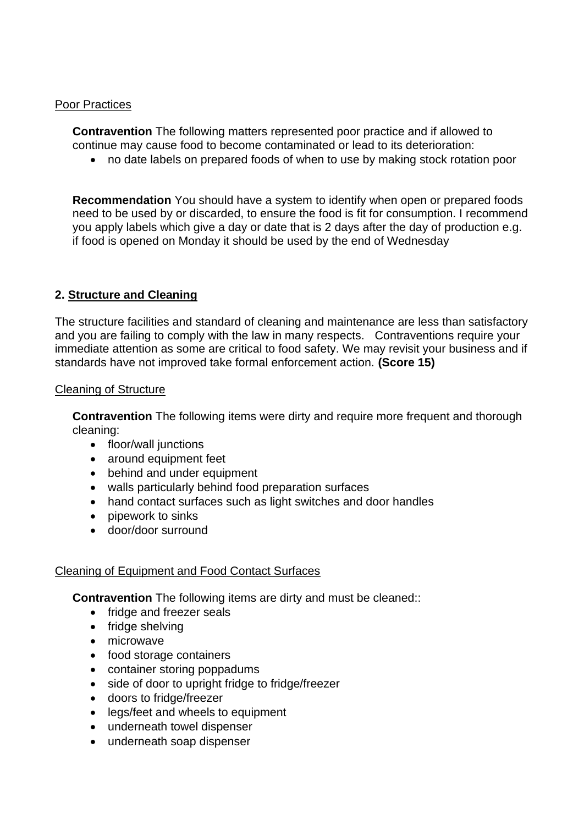### Poor Practices

 **Contravention** The following matters represented poor practice and if allowed to continue may cause food to become contaminated or lead to its deterioration:

• no date labels on prepared foods of when to use by making stock rotation poor

 you apply labels which give a day or date that is 2 days after the day of production e.g. **Recommendation** You should have a system to identify when open or prepared foods need to be used by or discarded, to ensure the food is fit for consumption. I recommend if food is opened on Monday it should be used by the end of Wednesday

### **2. Structure and Cleaning**

 and you are failing to comply with the law in many respects. Contraventions require your The structure facilities and standard of cleaning and maintenance are less than satisfactory immediate attention as some are critical to food safety. We may revisit your business and if standards have not improved take formal enforcement action. **(Score 15)** 

### Cleaning of Structure

**Contravention** The following items were dirty and require more frequent and thorough cleaning:

- floor/wall junctions
- around equipment feet
- behind and under equipment
- walls particularly behind food preparation surfaces
- hand contact surfaces such as light switches and door handles
- pipework to sinks
- door/door surround

### Cleaning of Equipment and Food Contact Surfaces

**Contravention** The following items are dirty and must be cleaned::

- fridge and freezer seals
- fridge shelving
- microwave
- food storage containers
- container storing poppadums
- side of door to upright fridge to fridge/freezer
- doors to fridge/freezer
- legs/feet and wheels to equipment
- underneath towel dispenser
- underneath soap dispenser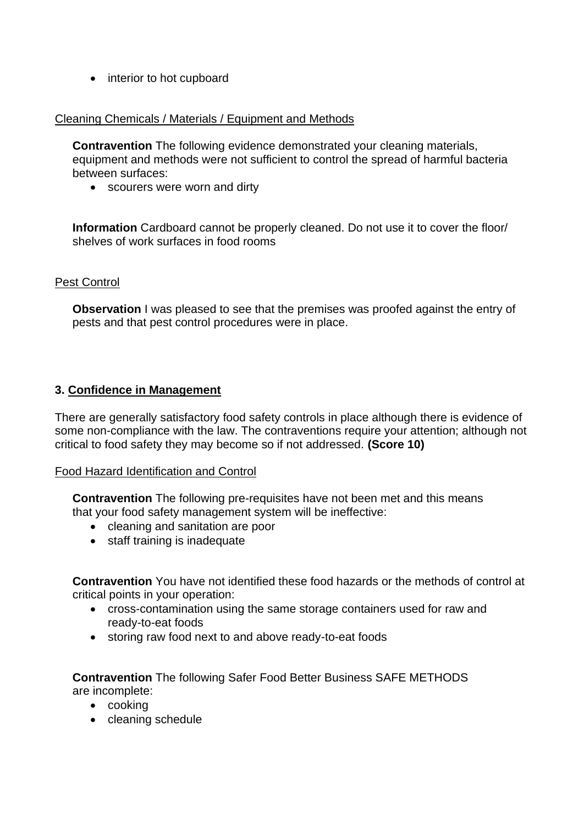• interior to hot cupboard

### Cleaning Chemicals / Materials / Equipment and Methods

**Contravention** The following evidence demonstrated your cleaning materials, equipment and methods were not sufficient to control the spread of harmful bacteria between surfaces:

• scourers were worn and dirty

**Information** Cardboard cannot be properly cleaned. Do not use it to cover the floor/ shelves of work surfaces in food rooms

### Pest Control

**Observation** I was pleased to see that the premises was proofed against the entry of pests and that pest control procedures were in place.

### **3. Confidence in Management**

 There are generally satisfactory food safety controls in place although there is evidence of some non-compliance with the law. The contraventions require your attention; although not critical to food safety they may become so if not addressed. **(Score 10)** 

### Food Hazard Identification and Control

**Contravention** The following pre-requisites have not been met and this means that your food safety management system will be ineffective:

- cleaning and sanitation are poor
- staff training is inadequate

**Contravention** You have not identified these food hazards or the methods of control at critical points in your operation:

- cross-contamination using the same storage containers used for raw and ready-to-eat foods
- storing raw food next to and above ready-to-eat foods

**Contravention** The following Safer Food Better Business SAFE METHODS are incomplete:

- cooking
- cleaning schedule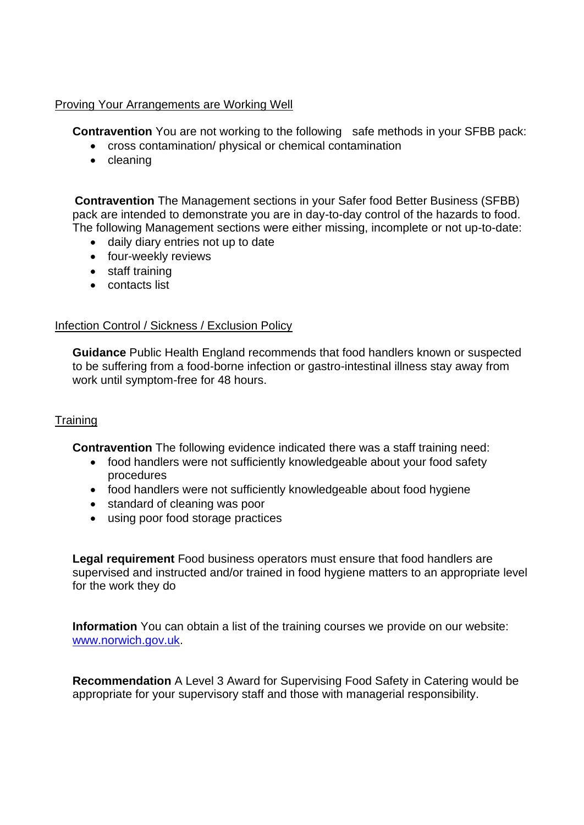### Proving Your Arrangements are Working Well

**Contravention** You are not working to the following safe methods in your SFBB pack:

- cross contamination/ physical or chemical contamination
- cleaning

**Contravention** The Management sections in your Safer food Better Business (SFBB) pack are intended to demonstrate you are in day-to-day control of the hazards to food. The following Management sections were either missing, incomplete or not up-to-date:

- daily diary entries not up to date
- four-weekly reviews
- staff training
- contacts list

# Infection Control / Sickness / Exclusion Policy

**Guidance** Public Health England recommends that food handlers known or suspected to be suffering from a food-borne infection or gastro-intestinal illness stay away from work until symptom-free for 48 hours.

# **Training**

**Contravention** The following evidence indicated there was a staff training need:

- food handlers were not sufficiently knowledgeable about your food safety procedures
- food handlers were not sufficiently knowledgeable about food hygiene
- standard of cleaning was poor
- using poor food storage practices

 supervised and instructed and/or trained in food hygiene matters to an appropriate level **Legal requirement** Food business operators must ensure that food handlers are for the work they do

**Information** You can obtain a list of the training courses we provide on our website: [www.norwich.gov.uk.](http://www.norwich.gov.uk/)

 appropriate for your supervisory staff and those with managerial responsibility. **Recommendation** A Level 3 Award for Supervising Food Safety in Catering would be